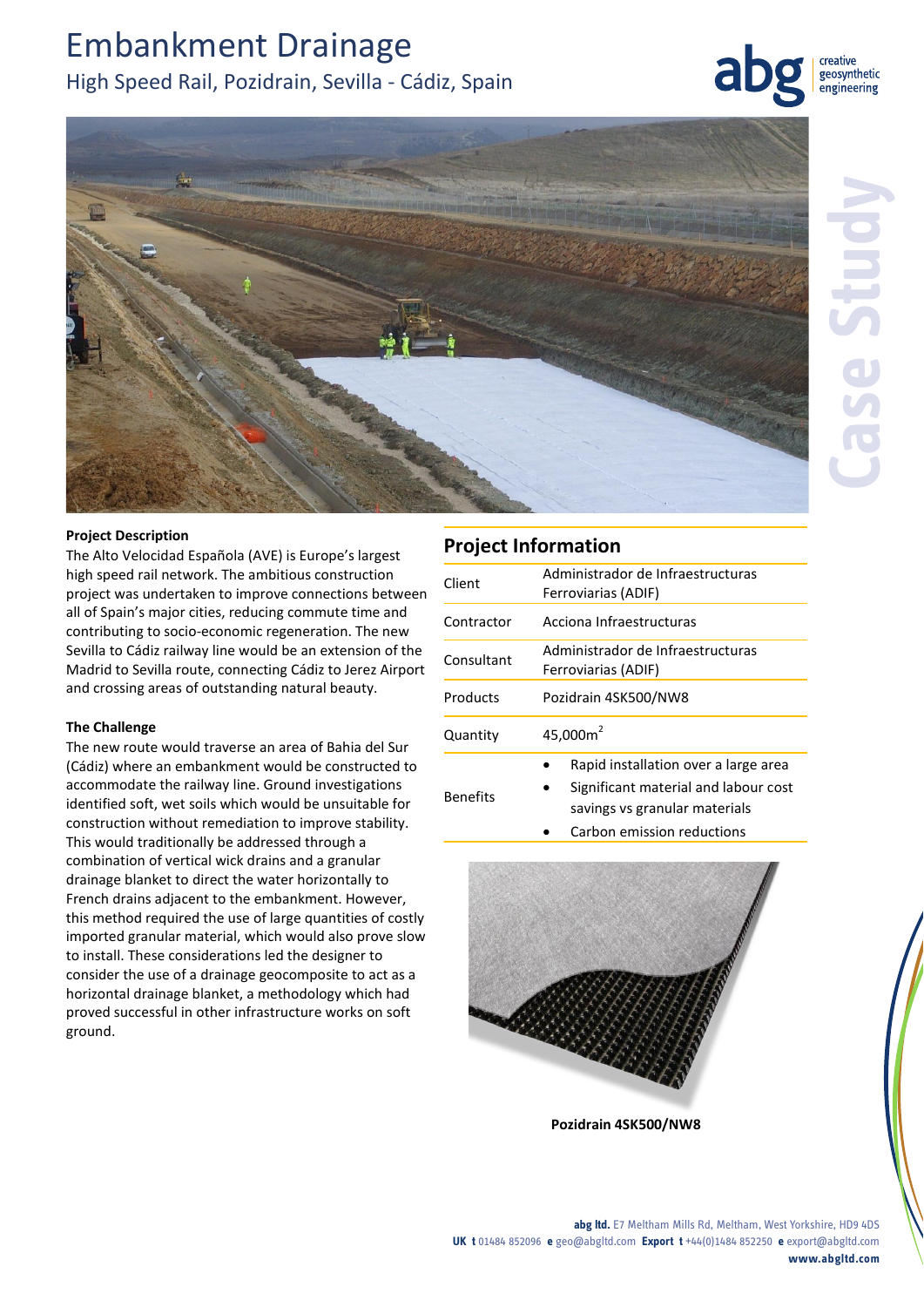# Embankment Drainage

# High Speed Rail, Pozidrain, Sevilla - Cádiz, Spain





### **Project Description**

The Alto Velocidad Española (AVE) is Europe's largest high speed rail network. The ambitious construction project was undertaken to improve connections between all of Spain's major cities, reducing commute time and contributing to socio-economic regeneration. The new Sevilla to Cádiz railway line would be an extension of the Madrid to Sevilla route, connecting Cádiz to Jerez Airport and crossing areas of outstanding natural beauty.

### **The Challenge**

The new route would traverse an area of Bahia del Sur (Cádiz) where an embankment would be constructed to accommodate the railway line. Ground investigations identified soft, wet soils which would be unsuitable for construction without remediation to improve stability. This would traditionally be addressed through a combination of vertical wick drains and a granular drainage blanket to direct the water horizontally to French drains adjacent to the embankment. However, this method required the use of large quantities of costly imported granular material, which would also prove slow to install. These considerations led the designer to consider the use of a drainage geocomposite to act as a horizontal drainage blanket, a methodology which had proved successful in other infrastructure works on soft ground.

## **Project Information**

| Client          | Administrador de Infraestructuras<br>Ferroviarias (ADIF)                                                      |
|-----------------|---------------------------------------------------------------------------------------------------------------|
| Contractor      | Acciona Infraestructuras                                                                                      |
| Consultant      | Administrador de Infraestructuras<br>Ferroviarias (ADIF)                                                      |
| Products        | Pozidrain 4SK500/NW8                                                                                          |
| Quantity        | 45,000 $m2$                                                                                                   |
| <b>Benefits</b> | Rapid installation over a large area<br>Significant material and labour cost<br>savings vs granular materials |

Carbon emission reductions



**Pozidrain 4SK500/NW8**

**abg ltd.** E7 Meltham Mills Rd, Meltham, West Yorkshire, HD9 4DS **UK t** 01484 852096 **e** geo@abgltd.com **Export t** +44(0)1484 852250 **e** export@abgltd.com **www.abgltd.com**